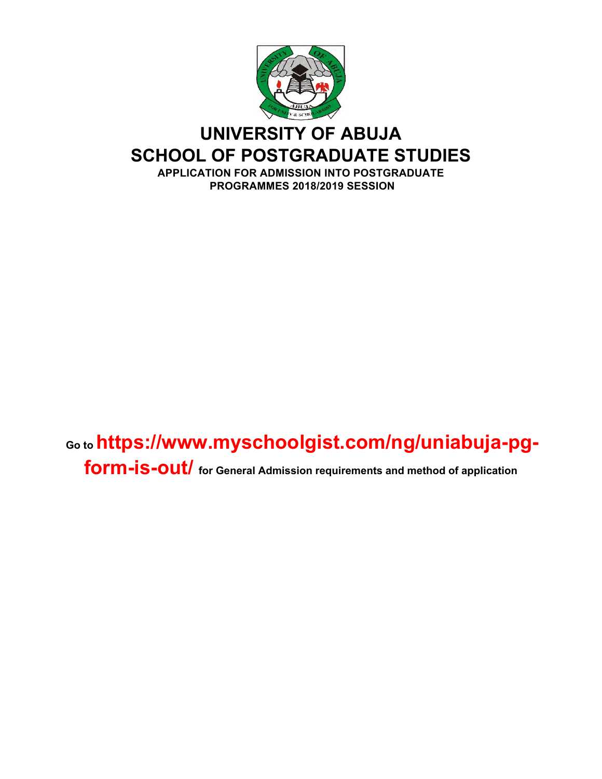

## **UNIVERSITY OF ABUJA SCHOOL OF POSTGRADUATE STUDIES APPLICATION FOR ADMISSION INTO POSTGRADUATE PROGRAMMES 2018/2019 SESSION**

# **Go to https://www.myschoolgist.com/ng/uniabuja-pgform-is-out/ for General Admission requirements and method of application**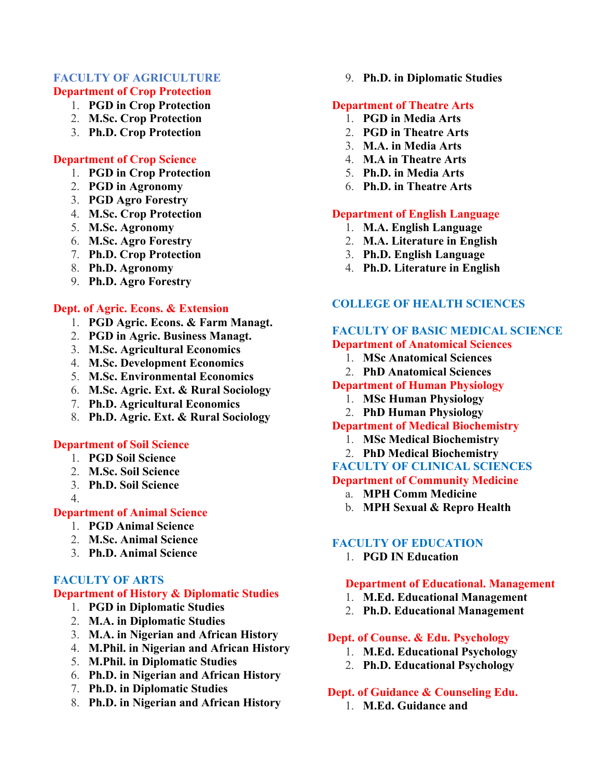#### **FACULTY OF AGRICULTURE Department of Crop Protection**

- 1. **PGD in Crop Protection**
- 2. **M.Sc. Crop Protection**
- 3. **Ph.D. Crop Protection**

#### **Department of Crop Science**

- 1. **PGD in Crop Protection**
- 2. **PGD in Agronomy**
- 3. **PGD Agro Forestry**
- 4. **M.Sc. Crop Protection**
- 5. **M.Sc. Agronomy**
- 6. **M.Sc. Agro Forestry**
- 7. **Ph.D. Crop Protection**
- 8. **Ph.D. Agronomy**
- 9. **Ph.D. Agro Forestry**

#### **Dept. of Agric. Econs. & Extension**

- 1. **PGD Agric. Econs. & Farm Managt.**
- 2. **PGD in Agric. Business Managt.**
- 3. **M.Sc. Agricultural Economics**
- 4. **M.Sc. Development Economics**
- 5. **M.Sc. Environmental Economics**
- 6. **M.Sc. Agric. Ext. & Rural Sociology**
- 7. **Ph.D. Agricultural Economics**
- 8. **Ph.D. Agric. Ext. & Rural Sociology**

#### **Department of Soil Science**

- 1. **PGD Soil Science**
- 2. **M.Sc. Soil Science**
- 3. **Ph.D. Soil Science**
- 4.

## **Department of Animal Science**

- 1. **PGD Animal Science**
- 2. **M.Sc. Animal Science**
- 3. **Ph.D. Animal Science**

#### **FACULTY OF ARTS**

### **Department of History & Diplomatic Studies**

- 1. **PGD in Diplomatic Studies**
- 2. **M.A. in Diplomatic Studies**
- 3. **M.A. in Nigerian and African History**
- 4. **M.Phil. in Nigerian and African History**
- 5. **M.Phil. in Diplomatic Studies**
- 6. **Ph.D. in Nigerian and African History**
- 7. **Ph.D. in Diplomatic Studies**
- 8. **Ph.D. in Nigerian and African History**

9. **Ph.D. in Diplomatic Studies**

#### **Department of Theatre Arts**

- 1. **PGD in Media Arts**
- 2. **PGD in Theatre Arts**
- 3. **M.A. in Media Arts**
- 4. **M.A in Theatre Arts**
- 5. **Ph.D. in Media Arts**
- 6. **Ph.D. in Theatre Arts**

#### **Department of English Language**

- 1. **M.A. English Language**
- 2. **M.A. Literature in English**
- 3. **Ph.D. English Language**
- 4. **Ph.D. Literature in English**

## **COLLEGE OF HEALTH SCIENCES**

#### **FACULTY OF BASIC MEDICAL SCIENCE Department of Anatomical Sciences**

- 1. **MSc Anatomical Sciences**
- 2. **PhD Anatomical Sciences**

#### **Department of Human Physiology**

- 1. **MSc Human Physiology**
- 2. **PhD Human Physiology**

## **Department of Medical Biochemistry**

- 1. **MSc Medical Biochemistry**
- 2. **PhD Medical Biochemistry**

## **FACULTY OF CLINICAL SCIENCES**

#### **Department of Community Medicine**

- a. **MPH Comm Medicine**
- b. **MPH Sexual & Repro Health**

#### **FACULTY OF EDUCATION**

1. **PGD IN Education**

#### **Department of Educational. Management**

- 1. **M.Ed. Educational Management**
- 2. **Ph.D. Educational Management**

#### **Dept. of Counse. & Edu. Psychology**

- 1. **M.Ed. Educational Psychology**
- 2. **Ph.D. Educational Psychology**

#### **Dept. of Guidance & Counseling Edu.**

1. **M.Ed. Guidance and**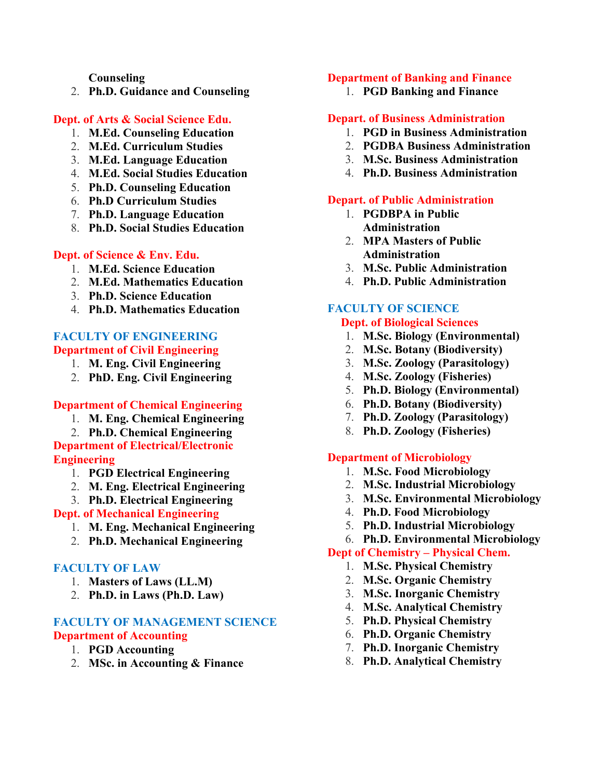#### **Counseling**

2. **Ph.D. Guidance and Counseling**

#### **Dept. of Arts & Social Science Edu.**

- 1. **M.Ed. Counseling Education**
- 2. **M.Ed. Curriculum Studies**
- 3. **M.Ed. Language Education**
- 4. **M.Ed. Social Studies Education**
- 5. **Ph.D. Counseling Education**
- 6. **Ph.D Curriculum Studies**
- 7. **Ph.D. Language Education**
- 8. **Ph.D. Social Studies Education**

#### **Dept. of Science & Env. Edu.**

- 1. **M.Ed. Science Education**
- 2. **M.Ed. Mathematics Education**
- 3. **Ph.D. Science Education**
- 4. **Ph.D. Mathematics Education**

## **FACULTY OF ENGINEERING Department of Civil Engineering**

- 1. **M. Eng. Civil Engineering**
- 2. **PhD. Eng. Civil Engineering**

#### **Department of Chemical Engineering**

- 1. **M. Eng. Chemical Engineering**
- 2. **Ph.D. Chemical Engineering**

**Department of Electrical/Electronic Engineering**

- 1. **PGD Electrical Engineering**
- 2. **M. Eng. Electrical Engineering**
- 3. **Ph.D. Electrical Engineering**

## **Dept. of Mechanical Engineering**

- 1. **M. Eng. Mechanical Engineering**
- 2. **Ph.D. Mechanical Engineering**

#### **FACULTY OF LAW**

- 1. **Masters of Laws (LL.M)**
- 2. **Ph.D. in Laws (Ph.D. Law)**

#### **FACULTY OF MANAGEMENT SCIENCE Department of Accounting**

- 1. **PGD Accounting**
- 2. **MSc. in Accounting & Finance**

#### **Department of Banking and Finance**

1. **PGD Banking and Finance**

#### **Depart. of Business Administration**

- 1. **PGD in Business Administration**
- 2. **PGDBA Business Administration**
- 3. **M.Sc. Business Administration**
- 4. **Ph.D. Business Administration**

#### **Depart. of Public Administration**

- 1. **PGDBPA in Public Administration**
- 2. **MPA Masters of Public Administration**
- 3. **M.Sc. Public Administration**
- 4. **Ph.D. Public Administration**

## **FACULTY OF SCIENCE**

## **Dept. of Biological Sciences**

- 1. **M.Sc. Biology (Environmental)**
- 2. **M.Sc. Botany (Biodiversity)**
- 3. **M.Sc. Zoology (Parasitology)**
- 4. **M.Sc. Zoology (Fisheries)**
- 5. **Ph.D. Biology (Environmental)**
- 6. **Ph.D. Botany (Biodiversity)**
- 7. **Ph.D. Zoology (Parasitology)**
- 8. **Ph.D. Zoology (Fisheries)**

#### **Department of Microbiology**

- 1. **M.Sc. Food Microbiology**
- 2. **M.Sc. Industrial Microbiology**
- 3. **M.Sc. Environmental Microbiology**
- 4. **Ph.D. Food Microbiology**
- 5. **Ph.D. Industrial Microbiology**
- 6. **Ph.D. Environmental Microbiology**

#### **Dept of Chemistry – Physical Chem.**

- 1. **M.Sc. Physical Chemistry**
- 2. **M.Sc. Organic Chemistry**
- 3. **M.Sc. Inorganic Chemistry**
- 4. **M.Sc. Analytical Chemistry**
- 5. **Ph.D. Physical Chemistry**
- 6. **Ph.D. Organic Chemistry**
- 7. **Ph.D. Inorganic Chemistry**
- 8. **Ph.D. Analytical Chemistry**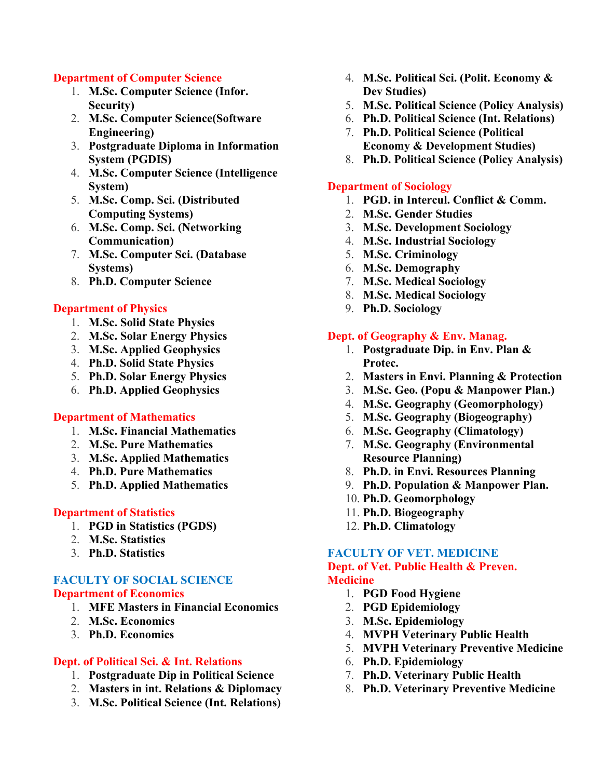#### **Department of Computer Science**

- 1. **M.Sc. Computer Science (Infor. Security)**
- 2. **M.Sc. Computer Science(Software Engineering)**
- 3. **Postgraduate Diploma in Information System (PGDIS)**
- 4. **M.Sc. Computer Science (Intelligence System)**
- 5. **M.Sc. Comp. Sci. (Distributed Computing Systems)**
- 6. **M.Sc. Comp. Sci. (Networking Communication)**
- 7. **M.Sc. Computer Sci. (Database Systems)**
- 8. **Ph.D. Computer Science**

## **Department of Physics**

- 1. **M.Sc. Solid State Physics**
- 2. **M.Sc. Solar Energy Physics**
- 3. **M.Sc. Applied Geophysics**
- 4. **Ph.D. Solid State Physics**
- 5. **Ph.D. Solar Energy Physics**
- 6. **Ph.D. Applied Geophysics**

#### **Department of Mathematics**

- 1. **M.Sc. Financial Mathematics**
- 2. **M.Sc. Pure Mathematics**
- 3. **M.Sc. Applied Mathematics**
- 4. **Ph.D. Pure Mathematics**
- 5. **Ph.D. Applied Mathematics**

#### **Department of Statistics**

- 1. **PGD in Statistics (PGDS)**
- 2. **M.Sc. Statistics**
- 3. **Ph.D. Statistics**

#### **FACULTY OF SOCIAL SCIENCE Department of Economics**

- 1. **MFE Masters in Financial Economics**
- 2. **M.Sc. Economics**
- 3. **Ph.D. Economics**

## **Dept. of Political Sci. & Int. Relations**

- 1. **Postgraduate Dip in Political Science**
- 2. **Masters in int. Relations & Diplomacy**
- 3. **M.Sc. Political Science (Int. Relations)**
- 4. **M.Sc. Political Sci. (Polit. Economy & Dev Studies)**
- 5. **M.Sc. Political Science (Policy Analysis)**
- 6. **Ph.D. Political Science (Int. Relations)**
- 7. **Ph.D. Political Science (Political Economy & Development Studies)**
- 8. **Ph.D. Political Science (Policy Analysis)**

#### **Department of Sociology**

- 1. **PGD. in Intercul. Conflict & Comm.**
- 2. **M.Sc. Gender Studies**
- 3. **M.Sc. Development Sociology**
- 4. **M.Sc. Industrial Sociology**
- 5. **M.Sc. Criminology**
- 6. **M.Sc. Demography**
- 7. **M.Sc. Medical Sociology**
- 8. **M.Sc. Medical Sociology**
- 9. **Ph.D. Sociology**

#### **Dept. of Geography & Env. Manag.**

- 1. **Postgraduate Dip. in Env. Plan & Protec.**
- 2. **Masters in Envi. Planning & Protection**
- 3. **M.Sc. Geo. (Popu & Manpower Plan.)**
- 4. **M.Sc. Geography (Geomorphology)**
- 5. **M.Sc. Geography (Biogeography)**
- 6. **M.Sc. Geography (Climatology)**
- 7. **M.Sc. Geography (Environmental Resource Planning)**
- 8. **Ph.D. in Envi. Resources Planning**
- 9. **Ph.D. Population & Manpower Plan.**
- 10. **Ph.D. Geomorphology**
- 11. **Ph.D. Biogeography**
- 12. **Ph.D. Climatology**

## **FACULTY OF VET. MEDICINE**

### **Dept. of Vet. Public Health & Preven. Medicine**

- 1. **PGD Food Hygiene**
- 2. **PGD Epidemiology**
- 3. **M.Sc. Epidemiology**
- 4. **MVPH Veterinary Public Health**
- 5. **MVPH Veterinary Preventive Medicine**
- 6. **Ph.D. Epidemiology**
- 7. **Ph.D. Veterinary Public Health**
- 8. **Ph.D. Veterinary Preventive Medicine**